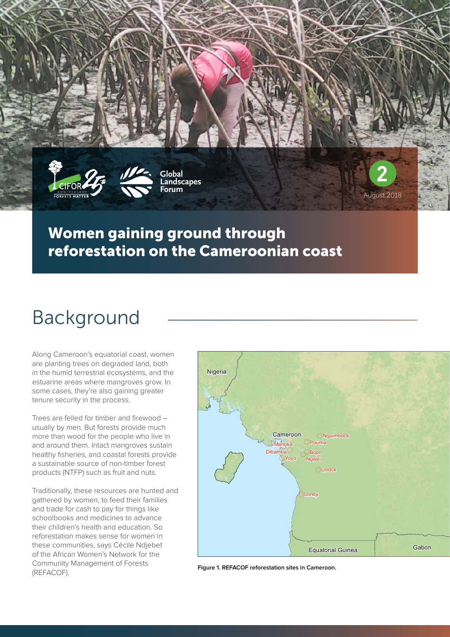



**Global Landscapes Forum**

#### Women gaining ground through reforestation on the Cameroonian coast

# Background

Along Cameroon's equatorial coast, women are planting trees on degraded land, both in the humid terrestrial ecosystems, and the estuarine areas where mangroves grow. In some cases, they're also gaining greater tenure security in the process.

Trees are felled for timber and firewood – usually by men. But forests provide much more than wood for the people who live in and around them. Intact mangroves sustain healthy fisheries, and coastal forests provide a sustainable source of non-timber forest products (NTFP) such as fruit and nuts.

Traditionally, these resources are hunted and gathered by women, to feed their families and trade for cash to pay for things like schoolbooks and medicines to advance their children's health and education. So reforestation makes sense for women in these communities, says Cécile Ndjebet of the African Women's Network for the Community Management of Forests (REFACOF).



**2**

August 2018

**Figure 1. REFACOF reforestation sites in Cameroon.**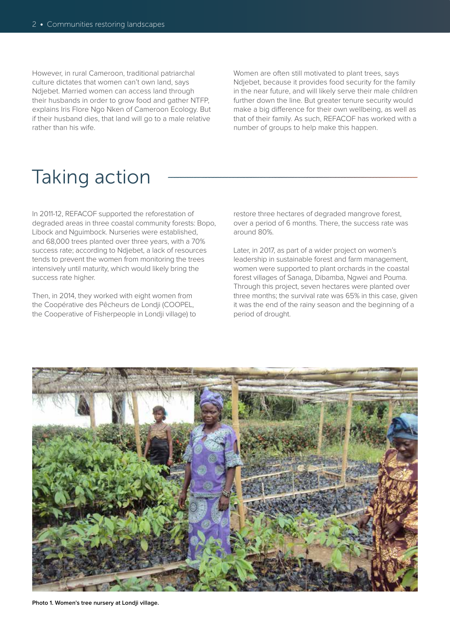However, in rural Cameroon, traditional patriarchal culture dictates that women can't own land, says Ndjebet. Married women can access land through their husbands in order to grow food and gather NTFP, explains Iris Flore Ngo Nken of Cameroon Ecology. But if their husband dies, that land will go to a male relative rather than his wife.

Women are often still motivated to plant trees, says Ndjebet, because it provides food security for the family in the near future, and will likely serve their male children further down the line. But greater tenure security would make a big difference for their own wellbeing, as well as that of their family. As such, REFACOF has worked with a number of groups to help make this happen.

## Taking action

In 2011-12, REFACOF supported the reforestation of degraded areas in three coastal community forests: Bopo, Libock and Nguimbock. Nurseries were established, and 68,000 trees planted over three years, with a 70% success rate; according to Ndjebet, a lack of resources tends to prevent the women from monitoring the trees intensively until maturity, which would likely bring the success rate higher.

Then, in 2014, they worked with eight women from the Coopérative des Pêcheurs de Londji (COOPEL, the Cooperative of Fisherpeople in Londji village) to restore three hectares of degraded mangrove forest, over a period of 6 months. There, the success rate was around 80%.

Later, in 2017, as part of a wider project on women's leadership in sustainable forest and farm management, women were supported to plant orchards in the coastal forest villages of Sanaga, Dibamba, Ngwei and Pouma. Through this project, seven hectares were planted over three months; the survival rate was 65% in this case, given it was the end of the rainy season and the beginning of a period of drought.

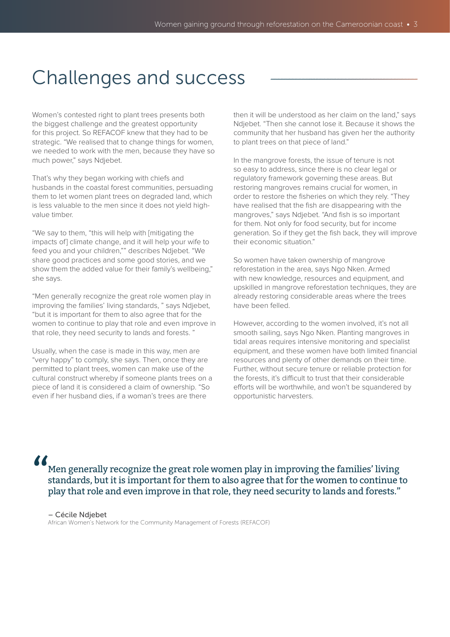### Challenges and success

Women's contested right to plant trees presents both the biggest challenge and the greatest opportunity for this project. So REFACOF knew that they had to be strategic. "We realised that to change things for women, we needed to work with the men, because they have so much power," says Ndjebet.

That's why they began working with chiefs and husbands in the coastal forest communities, persuading them to let women plant trees on degraded land, which is less valuable to the men since it does not yield highvalue timber.

"We say to them, "this will help with [mitigating the impacts of] climate change, and it will help your wife to feed you and your children,"" describes Ndjebet. "We share good practices and some good stories, and we show them the added value for their family's wellbeing," she says.

"Men generally recognize the great role women play in improving the families' living standards, " says Ndjebet, "but it is important for them to also agree that for the women to continue to play that role and even improve in that role, they need security to lands and forests. "

Usually, when the case is made in this way, men are "very happy" to comply, she says. Then, once they are permitted to plant trees, women can make use of the cultural construct whereby if someone plants trees on a piece of land it is considered a claim of ownership. "So even if her husband dies, if a woman's trees are there

then it will be understood as her claim on the land," says Ndjebet. "Then she cannot lose it. Because it shows the community that her husband has given her the authority to plant trees on that piece of land."

In the mangrove forests, the issue of tenure is not so easy to address, since there is no clear legal or regulatory framework governing these areas. But restoring mangroves remains crucial for women, in order to restore the fisheries on which they rely. "They have realised that the fish are disappearing with the mangroves," says Ndjebet. "And fish is so important for them. Not only for food security, but for income generation. So if they get the fish back, they will improve their economic situation."

So women have taken ownership of mangrove reforestation in the area, says Ngo Nken. Armed with new knowledge, resources and equipment, and upskilled in mangrove reforestation techniques, they are already restoring considerable areas where the trees have been felled.

However, according to the women involved, it's not all smooth sailing, says Ngo Nken. Planting mangroves in tidal areas requires intensive monitoring and specialist equipment, and these women have both limited financial resources and plenty of other demands on their time. Further, without secure tenure or reliable protection for the forests, it's difficult to trust that their considerable efforts will be worthwhile, and won't be squandered by opportunistic harvesters.

Men generally recognize the great role women play in improving the families' living standards, but it is important for them to also agree that for the women to continue to play that role and even improve in that role, they need security to lands and forests." "

– Cécile Ndjebet

African Women's Network for the Community Management of Forests (REFACOF)